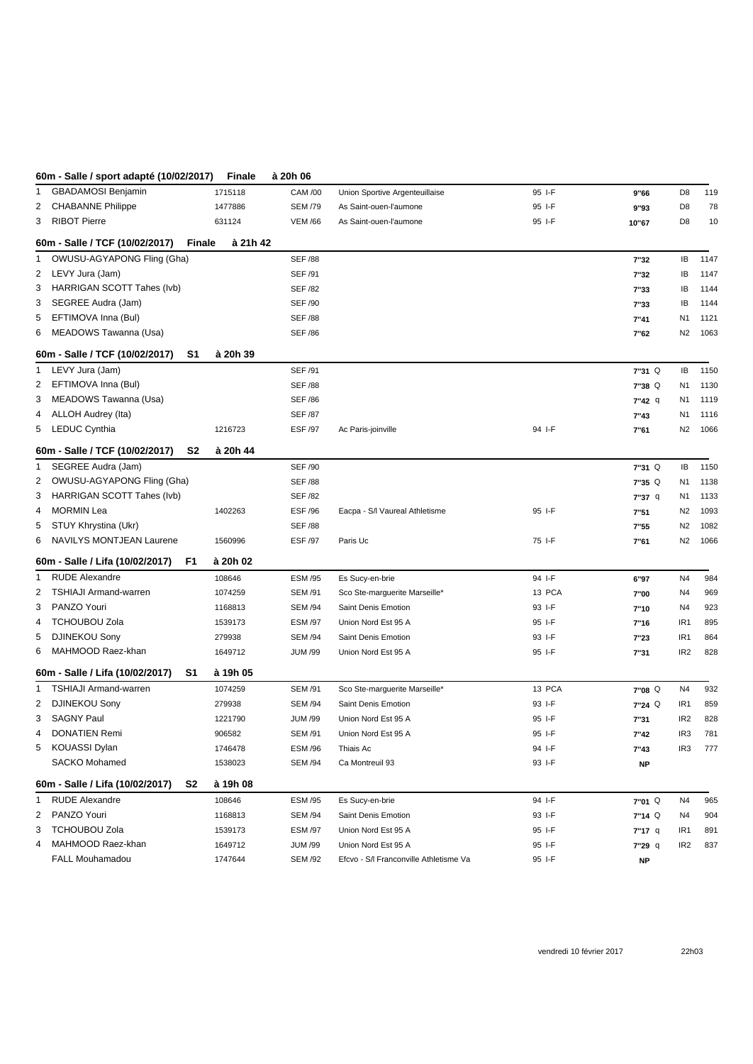## **60m - Salle / sport adapté (10/02/2017) Finale à 20h 06**

| 1            | <b>GBADAMOSI Benjamin</b>             | 1715118                   | <b>CAM /00</b> | Union Sportive Argenteuillaise         | 95 I-F | 9"66              | D8              | 119  |
|--------------|---------------------------------------|---------------------------|----------------|----------------------------------------|--------|-------------------|-----------------|------|
| 2            | <b>CHABANNE Philippe</b>              | 1477886                   | <b>SEM /79</b> | As Saint-ouen-l'aumone                 | 95 I-F | 9"93              | D8              | 78   |
| 3            | <b>RIBOT Pierre</b>                   | 631124                    | <b>VEM /66</b> | As Saint-ouen-l'aumone                 | 95 I-F | 10"67             | D8              | 10   |
|              | 60m - Salle / TCF (10/02/2017)        | à 21h 42<br><b>Finale</b> |                |                                        |        |                   |                 |      |
| 1            | OWUSU-AGYAPONG Fling (Gha)            |                           | <b>SEF /88</b> |                                        |        | 7"32              | IB              | 1147 |
| 2            | LEVY Jura (Jam)                       |                           | <b>SEF /91</b> |                                        |        | 7"32              | IB              | 1147 |
| 3            | HARRIGAN SCOTT Tahes (Ivb)            |                           | <b>SEF /82</b> |                                        |        | 7"33              | IB              | 1144 |
| 3            | SEGREE Audra (Jam)                    |                           | <b>SEF /90</b> |                                        |        | 7"33              | IB              | 1144 |
| 5            | EFTIMOVA Inna (Bul)                   |                           | <b>SEF /88</b> |                                        |        | 7"41              | N <sub>1</sub>  | 1121 |
|              | 6 MEADOWS Tawanna (Usa)               |                           | <b>SEF /86</b> |                                        |        | 7"62              | N <sub>2</sub>  | 1063 |
|              | 60m - Salle / TCF (10/02/2017)<br>S1  | à 20h 39                  |                |                                        |        |                   |                 |      |
| 1            | LEVY Jura (Jam)                       |                           | <b>SEF /91</b> |                                        |        | 7"31 Q            | IB              | 1150 |
| 2            | EFTIMOVA Inna (Bul)                   |                           | <b>SEF /88</b> |                                        |        | 7"38 <sup>Q</sup> | N1              | 1130 |
| 3            | MEADOWS Tawanna (Usa)                 |                           | <b>SEF /86</b> |                                        |        | 7"42 q            | N1              | 1119 |
| 4            | ALLOH Audrey (Ita)                    |                           | <b>SEF /87</b> |                                        |        | 7"43              | N1              | 1116 |
|              | 5 LEDUC Cynthia                       | 1216723                   | ESF /97        | Ac Paris-joinville                     | 94 I-F | 7"61              | N <sub>2</sub>  | 1066 |
|              | 60m - Salle / TCF (10/02/2017)<br>S2  | à 20h 44                  |                |                                        |        |                   |                 |      |
| 1            | SEGREE Audra (Jam)                    |                           | <b>SEF /90</b> |                                        |        | 7"31 Q            | IB              | 1150 |
| 2            | OWUSU-AGYAPONG Fling (Gha)            |                           | <b>SEF /88</b> |                                        |        | $7"35$ Q          | N <sub>1</sub>  | 1138 |
| 3            | HARRIGAN SCOTT Tahes (Ivb)            |                           | <b>SEF /82</b> |                                        |        | 7"37 q            | N1              | 1133 |
| 4            | MORMIN Lea                            | 1402263                   | <b>ESF /96</b> | Eacpa - S/I Vaureal Athletisme         | 95 I-F | 7"51              | N <sub>2</sub>  | 1093 |
| 5            | STUY Khrystina (Ukr)                  |                           | <b>SEF /88</b> |                                        |        | 7"55              | N <sub>2</sub>  | 1082 |
| 6            | <b>NAVILYS MONTJEAN Laurene</b>       | 1560996                   | ESF /97        | Paris Uc                               | 75 I-F | 7"61              | N <sub>2</sub>  | 1066 |
|              | 60m - Salle / Lifa (10/02/2017)<br>F1 | à 20h 02                  |                |                                        |        |                   |                 |      |
| 1            | <b>RUDE Alexandre</b>                 | 108646                    | <b>ESM /95</b> | Es Sucy-en-brie                        | 94 I-F | 6"97              | N4              | 984  |
| 2            | <b>TSHIAJI Armand-warren</b>          | 1074259                   | <b>SEM /91</b> | Sco Ste-marguerite Marseille*          | 13 PCA | 7"00              | N4              | 969  |
| 3            | PANZO Youri                           | 1168813                   | <b>SEM /94</b> | Saint Denis Emotion                    | 93 I-F | 7"10              | N4              | 923  |
| 4            | <b>TCHOUBOU Zola</b>                  | 1539173                   | <b>ESM /97</b> | Union Nord Est 95 A                    | 95 I-F | 7"16              | IR <sub>1</sub> | 895  |
| 5            | <b>DJINEKOU Sony</b>                  | 279938                    | <b>SEM /94</b> | Saint Denis Emotion                    | 93 I-F | 7"23              | IR <sub>1</sub> | 864  |
|              | 6 MAHMOOD Raez-khan                   | 1649712                   | <b>JUM /99</b> | Union Nord Est 95 A                    | 95 I-F | 7"31              | IR <sub>2</sub> | 828  |
|              | 60m - Salle / Lifa (10/02/2017)<br>S1 | à 19h 05                  |                |                                        |        |                   |                 |      |
| 1.           | <b>TSHIAJI Armand-warren</b>          | 1074259                   | <b>SEM /91</b> | Sco Ste-marguerite Marseille*          | 13 PCA | 7"08 <sup>Q</sup> | N4              | 932  |
| 2            | <b>DJINEKOU Sony</b>                  | 279938                    | <b>SEM /94</b> | Saint Denis Emotion                    | 93 I-F | 7"24 Q            | IR <sub>1</sub> | 859  |
| 3            | <b>SAGNY Paul</b>                     | 1221790                   | <b>JUM /99</b> | Union Nord Est 95 A                    | 95 I-F | 7"31              | IR <sub>2</sub> | 828  |
| 4            | <b>DONATIEN Remi</b>                  | 906582                    | <b>SEM /91</b> | Union Nord Est 95 A                    | 95 I-F | 7"42              | IR <sub>3</sub> | 781  |
|              | KOUASSI Dylan                         | 1746478                   | ESM /96        | Thiais Ac                              | 94 I-F | 7"43              | IR <sub>3</sub> | 777  |
|              | <b>SACKO Mohamed</b>                  | 1538023                   | <b>SEM /94</b> | Ca Montreuil 93                        | 93 I-F | <b>NP</b>         |                 |      |
|              | 60m - Salle / Lifa (10/02/2017)<br>S2 | à 19h 08                  |                |                                        |        |                   |                 |      |
| $\mathbf{1}$ | <b>RUDE Alexandre</b>                 | 108646                    | <b>ESM /95</b> | Es Sucy-en-brie                        | 94 I-F | 7"01 Q            | N4              | 965  |
| 2            | PANZO Youri                           | 1168813                   | <b>SEM /94</b> | Saint Denis Emotion                    | 93 I-F | $7"14$ Q          | N4              | 904  |
| 3            | <b>TCHOUBOU Zola</b>                  | 1539173                   | <b>ESM /97</b> | Union Nord Est 95 A                    | 95 I-F | 7"17 q            | IR <sub>1</sub> | 891  |
| 4            | MAHMOOD Raez-khan                     | 1649712                   | <b>JUM /99</b> | Union Nord Est 95 A                    | 95 I-F | 7"29 q            | IR <sub>2</sub> | 837  |
|              | <b>FALL Mouhamadou</b>                | 1747644                   | <b>SEM /92</b> | Efcvo - S/I Franconville Athletisme Va | 95 I-F | <b>NP</b>         |                 |      |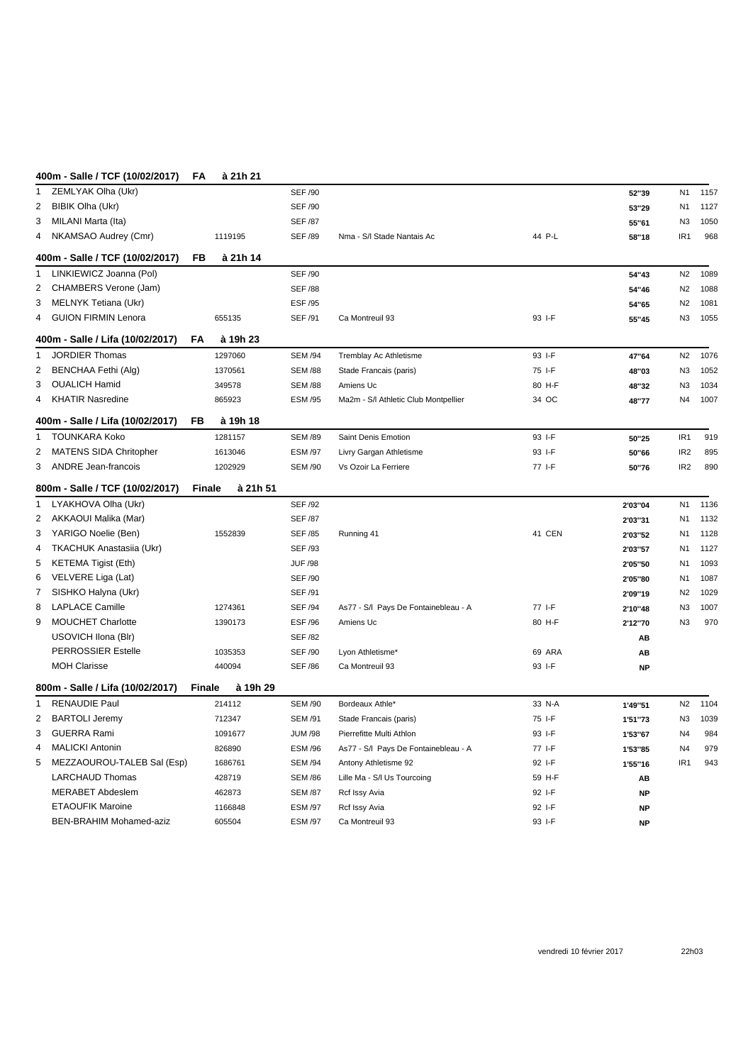| ן ויוטשובטוויך וטו נושט - וווטטד      |                            | $\overline{\phantom{a}}$ | <u>a 2111 21</u> |                |                                      |        |           |                 |      |
|---------------------------------------|----------------------------|--------------------------|------------------|----------------|--------------------------------------|--------|-----------|-----------------|------|
| ZEMLYAK Olha (Ukr)<br>1               |                            |                          |                  | <b>SEF /90</b> |                                      |        | 52"39     | N <sub>1</sub>  | 1157 |
| 2<br><b>BIBIK Olha (Ukr)</b>          |                            |                          |                  | <b>SEF /90</b> |                                      |        | 53"29     | N1              | 1127 |
| MILANI Marta (Ita)<br>3               |                            |                          |                  | <b>SEF /87</b> |                                      |        | 55"61     | N <sub>3</sub>  | 1050 |
| NKAMSAO Audrey (Cmr)<br>4             |                            |                          | 1119195          | <b>SEF /89</b> | Nma - S/I Stade Nantais Ac           | 44 P-L | 58"18     | IR <sub>1</sub> | 968  |
| 400m - Salle / TCF (10/02/2017)       |                            | FB                       | à 21h 14         |                |                                      |        |           |                 |      |
| LINKIEWICZ Joanna (Pol)<br>1          |                            |                          |                  | <b>SEF /90</b> |                                      |        | 54"43     | N <sub>2</sub>  | 1089 |
| CHAMBERS Verone (Jam)<br>2            |                            |                          |                  | <b>SEF /88</b> |                                      |        | 54"46     | N <sub>2</sub>  | 1088 |
| MELNYK Tetiana (Ukr)<br>3             |                            |                          |                  | ESF /95        |                                      |        | 54"65     | N <sub>2</sub>  | 1081 |
| <b>GUION FIRMIN Lenora</b><br>4       |                            |                          | 655135           | <b>SEF /91</b> | Ca Montreuil 93                      | 93 I-F | 55"45     | N3              | 1055 |
| 400m - Salle / Lifa (10/02/2017)      |                            | FA                       | à 19h 23         |                |                                      |        |           |                 |      |
| <b>JORDIER Thomas</b><br>$\mathbf{1}$ |                            |                          | 1297060          | <b>SEM /94</b> | Tremblay Ac Athletisme               | 93 I-F | 47"64     | N <sub>2</sub>  | 1076 |
| 2<br>BENCHAA Fethi (Alg)              |                            |                          | 1370561          | <b>SEM /88</b> | Stade Francais (paris)               | 75 I-F | 48"03     | N <sub>3</sub>  | 1052 |
| <b>OUALICH Hamid</b><br>3             |                            |                          | 349578           | <b>SEM /88</b> | Amiens Uc                            | 80 H-F | 48"32     | N <sub>3</sub>  | 1034 |
| <b>KHATIR Nasredine</b><br>4          |                            |                          | 865923           | <b>ESM /95</b> | Ma2m - S/I Athletic Club Montpellier | 34 OC  | 48"77     | N4              | 1007 |
| 400m - Salle / Lifa (10/02/2017)      |                            | FB                       | à 19h 18         |                |                                      |        |           |                 |      |
| <b>TOUNKARA Koko</b><br>1             |                            |                          | 1281157          | <b>SEM /89</b> | Saint Denis Emotion                  | 93 I-F | 50"25     | IR <sub>1</sub> | 919  |
| MATENS SIDA Chritopher<br>2           |                            |                          | 1613046          | <b>ESM /97</b> | Livry Gargan Athletisme              | 93 I-F | 50"66     | IR <sub>2</sub> | 895  |
| 3<br><b>ANDRE Jean-francois</b>       |                            |                          | 1202929          | <b>SEM /90</b> | Vs Ozoir La Ferriere                 | 77 I-F | 50"76     | IR <sub>2</sub> | 890  |
| 800m - Salle / TCF (10/02/2017)       |                            | Finale                   | à 21h 51         |                |                                      |        |           |                 |      |
| LYAKHOVA Olha (Ukr)<br>1              |                            |                          |                  | <b>SEF /92</b> |                                      |        | 2'03"04   | N <sub>1</sub>  | 1136 |
| AKKAOUI Malika (Mar)<br>2             |                            |                          |                  | <b>SEF /87</b> |                                      |        | 2'03"31   | N1              | 1132 |
| YARIGO Noelie (Ben)<br>3              |                            |                          | 1552839          | <b>SEF /85</b> | Running 41                           | 41 CEN | 2'03"52   | N <sub>1</sub>  | 1128 |
| <b>TKACHUK Anastasiia (Ukr)</b><br>4  |                            |                          |                  | <b>SEF /93</b> |                                      |        | 2'03"57   | N <sub>1</sub>  | 1127 |
| <b>KETEMA Tigist (Eth)</b><br>5       |                            |                          |                  | <b>JUF /98</b> |                                      |        | 2'05"50   | N <sub>1</sub>  | 1093 |
| VELVERE Liga (Lat)<br>6               |                            |                          |                  | <b>SEF /90</b> |                                      |        | 2'05"80   | N <sub>1</sub>  | 1087 |
| SISHKO Halyna (Ukr)<br>7              |                            |                          |                  | <b>SEF /91</b> |                                      |        | 2'09"19   | N <sub>2</sub>  | 1029 |
| <b>LAPLACE Camille</b><br>8           |                            |                          | 1274361          | <b>SEF /94</b> | As77 - S/I Pays De Fontainebleau - A | 77 I-F | 2'10"48   | N3              | 1007 |
| <b>MOUCHET Charlotte</b><br>9         |                            |                          | 1390173          | ESF /96        | Amiens Uc                            | 80 H-F | 2'12"70   | N <sub>3</sub>  | 970  |
| USOVICH Ilona (Blr)                   |                            |                          |                  | <b>SEF /82</b> |                                      |        | AB        |                 |      |
| <b>PERROSSIER Estelle</b>             |                            |                          | 1035353          | <b>SEF /90</b> | Lyon Athletisme*                     | 69 ARA | AB        |                 |      |
| <b>MOH Clarisse</b>                   |                            |                          | 440094           | <b>SEF /86</b> | Ca Montreuil 93                      | 93 I-F | <b>NP</b> |                 |      |
| 800m - Salle / Lifa (10/02/2017)      |                            | <b>Finale</b>            | à 19h 29         |                |                                      |        |           |                 |      |
| <b>RENAUDIE Paul</b><br>1             |                            |                          | 214112           | <b>SEM /90</b> | Bordeaux Athle*                      | 33 N-A | 1'49"51   | N <sub>2</sub>  | 1104 |
| <b>BARTOLI Jeremy</b><br>2            |                            |                          | 712347           | <b>SEM /91</b> | Stade Francais (paris)               | 75 I-F | 1'51"73   | N <sub>3</sub>  | 1039 |
| <b>GUERRA Rami</b><br>3               |                            |                          | 1091677          | <b>JUM /98</b> | Pierrefitte Multi Athlon             | 93 I-F | 1'53"67   | N <sub>4</sub>  | 984  |
| <b>MALICKI Antonin</b><br>4           |                            |                          | 826890           | <b>ESM /96</b> | As77 - S/I Pays De Fontainebleau - A | 77 I-F | 1'53"85   | N <sub>4</sub>  | 979  |
| 5                                     | MEZZAOUROU-TALEB Sal (Esp) |                          | 1686761          | <b>SEM /94</b> | Antony Athletisme 92                 | 92 I-F | 1'55"16   | IR <sub>1</sub> | 943  |
| <b>LARCHAUD Thomas</b>                |                            |                          | 428719           | <b>SEM /86</b> | Lille Ma - S/I Us Tourcoing          | 59 H-F | AB        |                 |      |
| <b>MERABET Abdeslem</b>               |                            |                          | 462873           | <b>SEM /87</b> | Rcf Issy Avia                        | 92 I-F | <b>NP</b> |                 |      |
| <b>ETAOUFIK Maroine</b>               |                            |                          | 1166848          | <b>ESM /97</b> | Rcf Issy Avia                        | 92 I-F | <b>NP</b> |                 |      |
| <b>BEN-BRAHIM Mohamed-aziz</b>        |                            |                          | 605504           | <b>ESM /97</b> | Ca Montreuil 93                      | 93 I-F | <b>NP</b> |                 |      |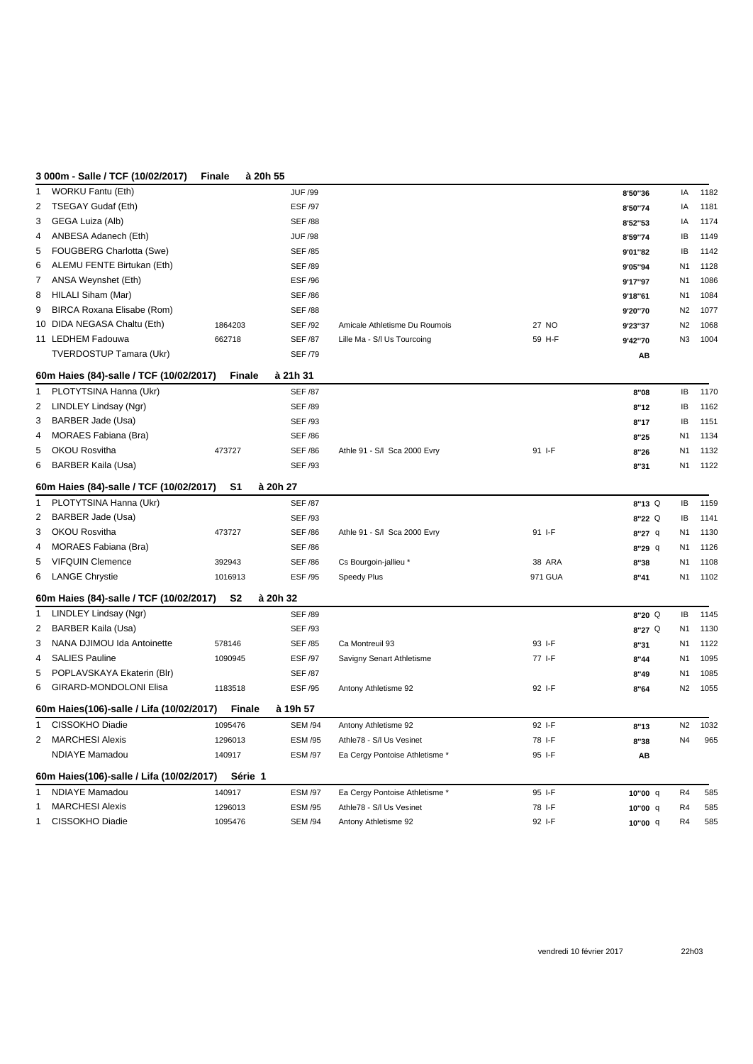## **3 000m - Salle / TCF (10/02/2017) Finale à 20h 55**

| <b>WORKU Fantu (Eth)</b><br>1            |                | <b>JUF /99</b> |                                |         | 8'50"36             | IA             | 1182 |
|------------------------------------------|----------------|----------------|--------------------------------|---------|---------------------|----------------|------|
| TSEGAY Gudaf (Eth)<br>2                  |                | <b>ESF /97</b> |                                |         | 8'50"74             | IA             | 1181 |
| GEGA Luiza (Alb)<br>3                    |                | <b>SEF /88</b> |                                |         | 8'52"53             | IA             | 1174 |
| ANBESA Adanech (Eth)<br>4                |                | <b>JUF /98</b> |                                |         | 8'59"74             | IB             | 1149 |
| FOUGBERG Charlotta (Swe)<br>5            |                | <b>SEF /85</b> |                                |         | 9'01"82             | IB             | 1142 |
| ALEMU FENTE Birtukan (Eth)<br>6          |                | <b>SEF /89</b> |                                |         | 9'05"94             | N <sub>1</sub> | 1128 |
| ANSA Weynshet (Eth)<br>$\overline{7}$    |                | <b>ESF /96</b> |                                |         | 9'17"97             | N <sub>1</sub> | 1086 |
| HILALI Siham (Mar)<br>8                  |                | <b>SEF /86</b> |                                |         | 9'18"61             | N <sub>1</sub> | 1084 |
| BIRCA Roxana Elisabe (Rom)<br>9          |                | <b>SEF /88</b> |                                |         | 9'20"70             | N <sub>2</sub> | 1077 |
| 10 DIDA NEGASA Chaltu (Eth)              | 1864203        | <b>SEF /92</b> | Amicale Athletisme Du Roumois  | 27 NO   | 9'23"37             | N <sub>2</sub> | 1068 |
| 11 LEDHEM Fadouwa                        | 662718         | <b>SEF /87</b> | Lille Ma - S/I Us Tourcoing    | 59 H-F  | 9'42"70             | N3             | 1004 |
| <b>TVERDOSTUP Tamara (Ukr)</b>           |                | <b>SEF /79</b> |                                |         | AB                  |                |      |
| 60m Haies (84)-salle / TCF (10/02/2017)  | <b>Finale</b>  | à 21h 31       |                                |         |                     |                |      |
| PLOTYTSINA Hanna (Ukr)<br>$\mathbf{1}$   |                | <b>SEF /87</b> |                                |         | 8"08                | IB             | 1170 |
| LINDLEY Lindsay (Ngr)<br>2               |                | <b>SEF /89</b> |                                |         | 8"12                | IB             | 1162 |
| BARBER Jade (Usa)<br>3                   |                | <b>SEF /93</b> |                                |         | 8"17                | IB             | 1151 |
| <b>MORAES Fabiana (Bra)</b><br>4         |                | <b>SEF /86</b> |                                |         | 8"25                | N <sub>1</sub> | 1134 |
| OKOU Rosvitha<br>5                       | 473727         | <b>SEF /86</b> | Athle 91 - S/I Sca 2000 Evry   | 91 I-F  | 8"26                | N <sub>1</sub> | 1132 |
| BARBER Kaila (Usa)<br>6                  |                | <b>SEF /93</b> |                                |         | 8"31                | N1             | 1122 |
| 60m Haies (84)-salle / TCF (10/02/2017)  | S <sub>1</sub> | à 20h 27       |                                |         |                     |                |      |
| PLOTYTSINA Hanna (Ukr)<br>1              |                | <b>SEF /87</b> |                                |         | 8"13 Q              | IB             | 1159 |
| BARBER Jade (Usa)<br>2                   |                | <b>SEF /93</b> |                                |         | $8"22$ <sup>Q</sup> | IB             | 1141 |
| OKOU Rosvitha<br>3                       | 473727         | <b>SEF /86</b> | Athle 91 - S/I Sca 2000 Evry   | 91 I-F  | $8"27$ q            | N <sub>1</sub> | 1130 |
| <b>MORAES Fabiana (Bra)</b><br>4         |                | <b>SEF /86</b> |                                |         | $8"29$ q            | N1             | 1126 |
| <b>VIFQUIN Clemence</b><br>5             | 392943         | <b>SEF /86</b> | Cs Bourgoin-jallieu *          | 38 ARA  | 8"38                | N <sub>1</sub> | 1108 |
| 6 LANGE Chrystie                         | 1016913        | <b>ESF /95</b> | Speedy Plus                    | 971 GUA | 8"41                | N <sub>1</sub> | 1102 |
| 60m Haies (84)-salle / TCF (10/02/2017)  | S <sub>2</sub> | à 20h 32       |                                |         |                     |                |      |
| LINDLEY Lindsay (Ngr)<br>1               |                | <b>SEF /89</b> |                                |         | $8"20$ <sup>Q</sup> | IB             | 1145 |
| <b>BARBER Kaila (Usa)</b><br>2           |                | <b>SEF /93</b> |                                |         | 8"27 <sup>Q</sup>   | N <sub>1</sub> | 1130 |
| NANA DJIMOU Ida Antoinette<br>3          | 578146         | <b>SEF /85</b> | Ca Montreuil 93                | 93 I-F  | 8"31                | N <sub>1</sub> | 1122 |
| <b>SALIES Pauline</b><br>4               | 1090945        | <b>ESF /97</b> | Savigny Senart Athletisme      | 77 I-F  | 8"44                | N <sub>1</sub> | 1095 |
| POPLAVSKAYA Ekaterin (Blr)<br>5          |                | <b>SEF /87</b> |                                |         | 8''49               | N <sub>1</sub> | 1085 |
| GIRARD-MONDOLONI Elisa<br>6              | 1183518        | ESF /95        | Antony Athletisme 92           | 92 I-F  | 8"64                | N <sub>2</sub> | 1055 |
| 60m Haies(106)-salle / Lifa (10/02/2017) | <b>Finale</b>  | à 19h 57       |                                |         |                     |                |      |
| CISSOKHO Diadie<br>1                     | 1095476        | <b>SEM /94</b> | Antony Athletisme 92           | 92 I-F  | 8"13                | N <sub>2</sub> | 1032 |
| <b>MARCHESI Alexis</b><br>2              | 1296013        | <b>ESM /95</b> | Athle78 - S/I Us Vesinet       | 78 I-F  | 8"38                | N4             | 965  |
| <b>NDIAYE Mamadou</b>                    | 140917         | <b>ESM /97</b> | Ea Cergy Pontoise Athletisme * | 95 I-F  | AB                  |                |      |
| 60m Haies(106)-salle / Lifa (10/02/2017) | Série 1        |                |                                |         |                     |                |      |
| <b>NDIAYE Mamadou</b><br>1               | 140917         | <b>ESM /97</b> | Ea Cergy Pontoise Athletisme * | 95 I-F  | 10"00 q             | R <sub>4</sub> | 585  |
| <b>MARCHESI Alexis</b><br>1              | 1296013        | <b>ESM /95</b> | Athle78 - S/I Us Vesinet       | 78 I-F  | 10"00 q             | R <sub>4</sub> | 585  |
| CISSOKHO Diadie<br>1                     | 1095476        | <b>SEM /94</b> | Antony Athletisme 92           | 92 I-F  | 10"00 q             | R4             | 585  |
|                                          |                |                |                                |         |                     |                |      |